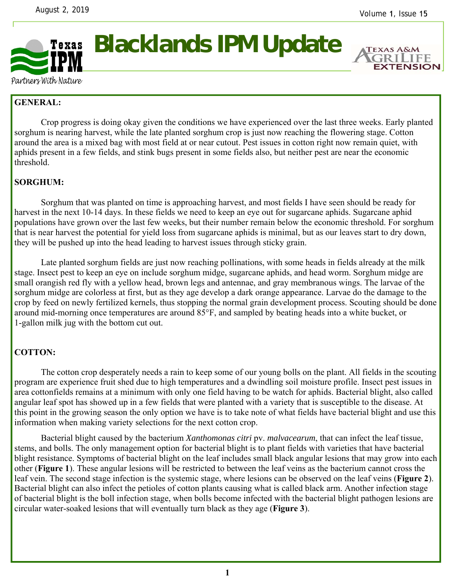

**Blacklands IPM Update** 



Partners With Nature

## **GENERAL:**

 Crop progress is doing okay given the conditions we have experienced over the last three weeks. Early planted sorghum is nearing harvest, while the late planted sorghum crop is just now reaching the flowering stage. Cotton around the area is a mixed bag with most field at or near cutout. Pest issues in cotton right now remain quiet, with aphids present in a few fields, and stink bugs present in some fields also, but neither pest are near the economic threshold.

## **SORGHUM:**

Sorghum that was planted on time is approaching harvest, and most fields I have seen should be ready for harvest in the next 10-14 days. In these fields we need to keep an eye out for sugarcane aphids. Sugarcane aphid populations have grown over the last few weeks, but their number remain below the economic threshold. For sorghum that is near harvest the potential for yield loss from sugarcane aphids is minimal, but as our leaves start to dry down, they will be pushed up into the head leading to harvest issues through sticky grain.

 Late planted sorghum fields are just now reaching pollinations, with some heads in fields already at the milk stage. Insect pest to keep an eye on include sorghum midge, sugarcane aphids, and head worm. Sorghum midge are small orangish red fly with a yellow head, brown legs and antennae, and gray membranous wings. The larvae of the sorghum midge are colorless at first, but as they age develop a dark orange appearance. Larvae do the damage to the crop by feed on newly fertilized kernels, thus stopping the normal grain development process. Scouting should be done around mid-morning once temperatures are around 85°F, and sampled by beating heads into a white bucket, or 1-gallon milk jug with the bottom cut out.

## **COTTON:**

The cotton crop desperately needs a rain to keep some of our young bolls on the plant. All fields in the scouting program are experience fruit shed due to high temperatures and a dwindling soil moisture profile. Insect pest issues in area cottonfields remains at a minimum with only one field having to be watch for aphids. Bacterial blight, also called angular leaf spot has showed up in a few fields that were planted with a variety that is susceptible to the disease. At this point in the growing season the only option we have is to take note of what fields have bacterial blight and use this information when making variety selections for the next cotton crop.

Bacterial blight caused by the bacterium *Xanthomonas citri* pv. *malvacearum*, that can infect the leaf tissue, stems, and bolls. The only management option for bacterial blight is to plant fields with varieties that have bacterial blight resistance. Symptoms of bacterial blight on the leaf includes small black angular lesions that may grow into each other (**Figure 1**). These angular lesions will be restricted to between the leaf veins as the bacterium cannot cross the leaf vein. The second stage infection is the systemic stage, where lesions can be observed on the leaf veins (**Figure 2**). Bacterial blight can also infect the petioles of cotton plants causing what is called black arm. Another infection stage of bacterial blight is the boll infection stage, when bolls become infected with the bacterial blight pathogen lesions are circular water-soaked lesions that will eventually turn black as they age (**Figure 3**).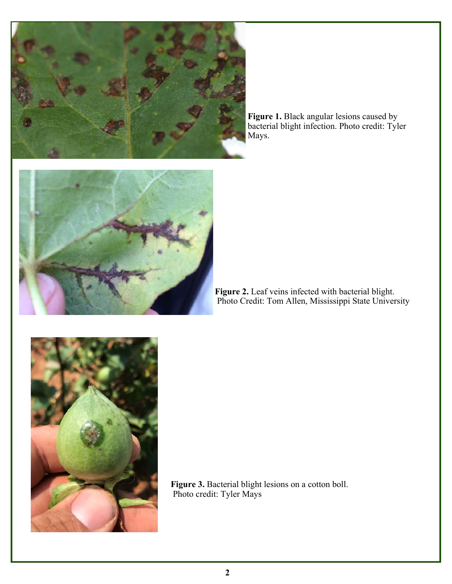

**Figure 1.** Black angular lesions caused by bacterial blight infection. Photo credit: Tyler Mays.





**Figure 3.** Bacterial blight lesions on a cotton boll. Photo credit: Tyler Mays